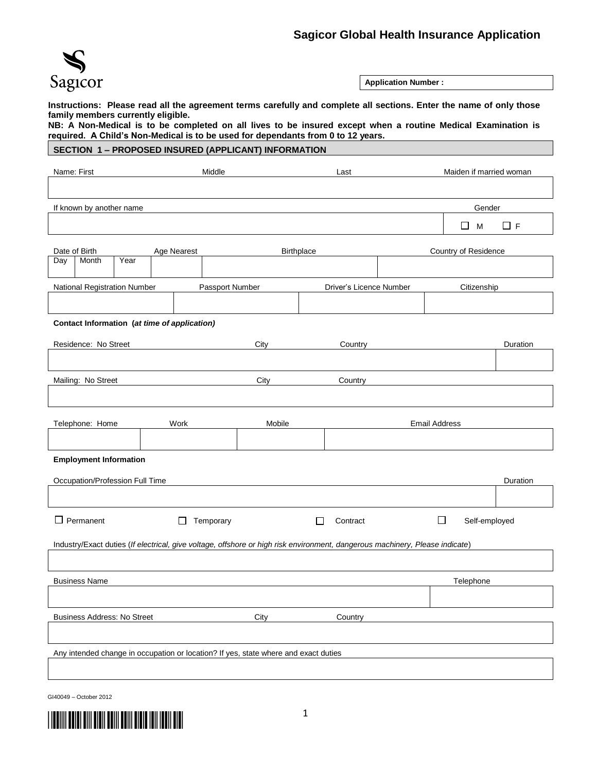# **Sagicor Global Health Insurance Application**



**Application Number :** 

**Instructions: Please read all the agreement terms carefully and complete all sections. Enter the name of only those family members currently eligible.**

**NB: A Non-Medical is to be completed on all lives to be insured except when a routine Medical Examination is required. A Child's Non-Medical is to be used for dependants from 0 to 12 years.**

# **SECTION 1 – PROPOSED INSURED (APPLICANT) INFORMATION**

| Name: First                                                                                                                  | Middle              |                 |   | Last                    |                      | Maiden if married woman |          |
|------------------------------------------------------------------------------------------------------------------------------|---------------------|-----------------|---|-------------------------|----------------------|-------------------------|----------|
|                                                                                                                              |                     |                 |   |                         |                      |                         |          |
| If known by another name                                                                                                     |                     |                 |   |                         |                      | Gender                  |          |
|                                                                                                                              |                     |                 |   |                         |                      | ப<br>M                  | $\Box$ F |
| Date of Birth                                                                                                                | Age Nearest         | Birthplace      |   |                         |                      | Country of Residence    |          |
| Day<br>Month<br>Year                                                                                                         |                     |                 |   |                         |                      |                         |          |
| <b>National Registration Number</b>                                                                                          |                     | Passport Number |   | Driver's Licence Number |                      | Citizenship             |          |
|                                                                                                                              |                     |                 |   |                         |                      |                         |          |
| Contact Information (at time of application)                                                                                 |                     |                 |   |                         |                      |                         |          |
| Residence: No Street                                                                                                         |                     | City            |   | Country                 |                      |                         | Duration |
|                                                                                                                              |                     |                 |   |                         |                      |                         |          |
| Mailing: No Street                                                                                                           |                     | City            |   | Country                 |                      |                         |          |
|                                                                                                                              |                     |                 |   |                         |                      |                         |          |
| Telephone: Home                                                                                                              | Work                | Mobile          |   |                         | <b>Email Address</b> |                         |          |
|                                                                                                                              |                     |                 |   |                         |                      |                         |          |
| <b>Employment Information</b>                                                                                                |                     |                 |   |                         |                      |                         |          |
| Occupation/Profession Full Time                                                                                              |                     |                 |   |                         |                      |                         | Duration |
|                                                                                                                              |                     |                 |   |                         |                      |                         |          |
| $\Box$ Permanent                                                                                                             | $\Box$<br>Temporary |                 | П | Contract                | $\Box$               | Self-employed           |          |
| Industry/Exact duties (If electrical, give voltage, offshore or high risk environment, dangerous machinery, Please indicate) |                     |                 |   |                         |                      |                         |          |
|                                                                                                                              |                     |                 |   |                         |                      |                         |          |
| <b>Business Name</b>                                                                                                         |                     |                 |   |                         |                      | Telephone               |          |
|                                                                                                                              |                     |                 |   |                         |                      |                         |          |
| Business Address: No Street                                                                                                  |                     | City            |   | Country                 |                      |                         |          |
|                                                                                                                              |                     |                 |   |                         |                      |                         |          |
| Any intended change in occupation or location? If yes, state where and exact duties                                          |                     |                 |   |                         |                      |                         |          |
|                                                                                                                              |                     |                 |   |                         |                      |                         |          |

GI40049 – October 2012

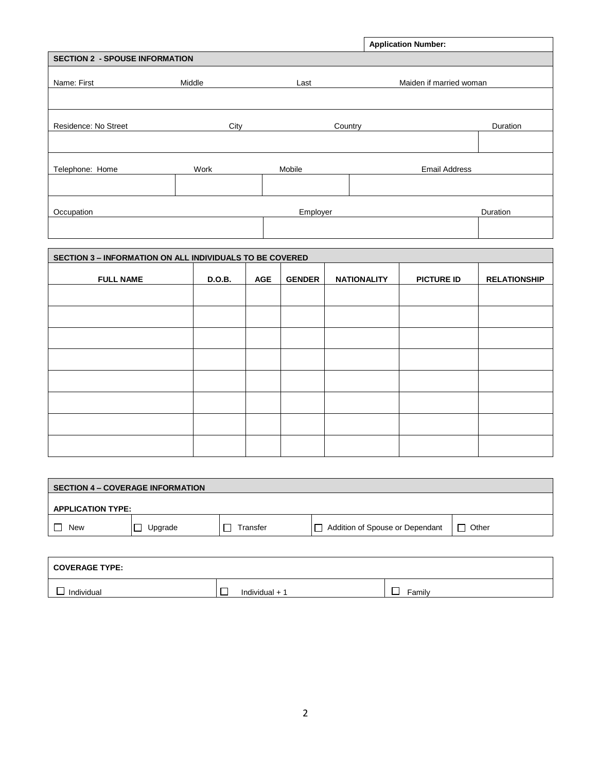|                                       |        |          |         | <b>Application Number:</b> |          |
|---------------------------------------|--------|----------|---------|----------------------------|----------|
| <b>SECTION 2 - SPOUSE INFORMATION</b> |        |          |         |                            |          |
| Name: First                           | Middle | Last     |         | Maiden if married woman    |          |
|                                       |        |          |         |                            |          |
| Residence: No Street                  | City   |          | Country |                            | Duration |
|                                       |        |          |         |                            |          |
| Telephone: Home                       | Work   | Mobile   |         | <b>Email Address</b>       |          |
|                                       |        |          |         |                            |          |
| Occupation                            |        | Employer |         |                            | Duration |
|                                       |        |          |         |                            |          |

| <b>SECTION 3 - INFORMATION ON ALL INDIVIDUALS TO BE COVERED</b> |               |            |               |                    |                   |                     |  |  |
|-----------------------------------------------------------------|---------------|------------|---------------|--------------------|-------------------|---------------------|--|--|
| <b>FULL NAME</b>                                                | <b>D.O.B.</b> | <b>AGE</b> | <b>GENDER</b> | <b>NATIONALITY</b> | <b>PICTURE ID</b> | <b>RELATIONSHIP</b> |  |  |
|                                                                 |               |            |               |                    |                   |                     |  |  |
|                                                                 |               |            |               |                    |                   |                     |  |  |
|                                                                 |               |            |               |                    |                   |                     |  |  |
|                                                                 |               |            |               |                    |                   |                     |  |  |
|                                                                 |               |            |               |                    |                   |                     |  |  |
|                                                                 |               |            |               |                    |                   |                     |  |  |
|                                                                 |               |            |               |                    |                   |                     |  |  |
|                                                                 |               |            |               |                    |                   |                     |  |  |

| <b>SECTION 4 – COVERAGE INFORMATION</b> |         |          |                                 |       |  |  |
|-----------------------------------------|---------|----------|---------------------------------|-------|--|--|
| <b>APPLICATION TYPE:</b>                |         |          |                                 |       |  |  |
| New                                     | Upgrade | Transfer | Addition of Spouse or Dependant | Other |  |  |

| <b>COVERAGE TYPE:</b> |              |             |
|-----------------------|--------------|-------------|
| –<br>Individual       | Individual + | Family<br>_ |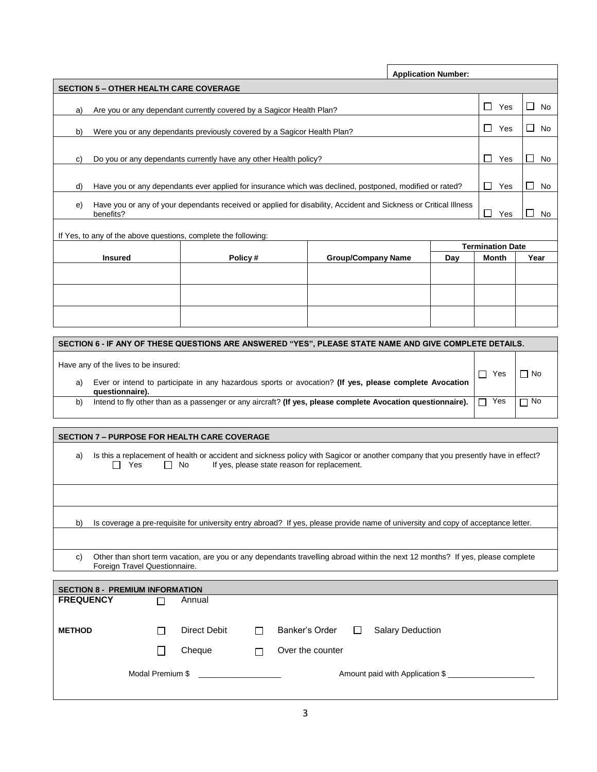|    |                                                                                                                            |                                                                                                                  |                           | <b>Application Number:</b> |                         |                            |
|----|----------------------------------------------------------------------------------------------------------------------------|------------------------------------------------------------------------------------------------------------------|---------------------------|----------------------------|-------------------------|----------------------------|
|    | <b>SECTION 5 - OTHER HEALTH CARE COVERAGE</b>                                                                              |                                                                                                                  |                           |                            |                         |                            |
| a) |                                                                                                                            | Are you or any dependant currently covered by a Sagicor Health Plan?                                             |                           |                            | $\blacksquare$<br>Yes   | $\sqcup$<br><b>No</b>      |
| b) |                                                                                                                            | Were you or any dependants previously covered by a Sagicor Health Plan?                                          |                           |                            | Yes<br>$\sim$ 1         | No<br>$\perp$              |
| C) |                                                                                                                            | Do you or any dependants currently have any other Health policy?                                                 |                           |                            | Yes<br>$\sim$           | No<br>×.                   |
| d) | Yes<br>×.<br>No<br>Have you or any dependants ever applied for insurance which was declined, postponed, modified or rated? |                                                                                                                  |                           |                            |                         |                            |
| e) | benefits?                                                                                                                  | Have you or any of your dependants received or applied for disability, Accident and Sickness or Critical Illness |                           |                            | Yes                     | $\mathcal{L}$<br><b>No</b> |
|    | If Yes, to any of the above questions, complete the following:                                                             |                                                                                                                  |                           |                            |                         |                            |
|    |                                                                                                                            |                                                                                                                  |                           |                            | <b>Termination Date</b> |                            |
|    | <b>Insured</b>                                                                                                             | Policy#                                                                                                          | <b>Group/Company Name</b> | Day                        | Month                   | Year                       |
|    |                                                                                                                            |                                                                                                                  |                           |                            |                         |                            |
|    |                                                                                                                            |                                                                                                                  |                           |                            |                         |                            |
|    |                                                                                                                            |                                                                                                                  |                           |                            |                         |                            |

|    | SECTION 6 - IF ANY OF THESE QUESTIONS ARE ANSWERED "YES", PLEASE STATE NAME AND GIVE COMPLETE DETAILS.                                                            |     |           |  |  |  |  |
|----|-------------------------------------------------------------------------------------------------------------------------------------------------------------------|-----|-----------|--|--|--|--|
| a) | Have any of the lives to be insured:<br>Ever or intend to participate in any hazardous sports or avocation? (If yes, please complete Avocation<br>questionnaire). | Yes | l No      |  |  |  |  |
| b) | Intend to fly other than as a passenger or any aircraft? (If yes, please complete Avocation questionnaire).                                                       | Yes | $\Box$ No |  |  |  |  |

# **SECTION 7 – PURPOSE FOR HEALTH CARE COVERAGE**

| a) | Is this a replacement of health or accident and sickness policy with Sagicor or another company that you presently have in effect?<br>If yes, please state reason for replacement.<br>$\Box$ No<br>Yes |
|----|--------------------------------------------------------------------------------------------------------------------------------------------------------------------------------------------------------|
|    |                                                                                                                                                                                                        |
| b) | Is coverage a pre-requisite for university entry abroad? If yes, please provide name of university and copy of acceptance letter.                                                                      |
| C) | Other than short term vacation, are you or any dependants travelling abroad within the next 12 months? If yes, please complete<br>Foreign Travel Questionnaire.                                        |

| <b>SECTION 8 - PREMIUM INFORMATION</b>                     |        |              |   |                  |                                 |                         |  |
|------------------------------------------------------------|--------|--------------|---|------------------|---------------------------------|-------------------------|--|
| <b>FREQUENCY</b>                                           | $\Box$ | Annual       |   |                  |                                 |                         |  |
|                                                            |        |              |   |                  |                                 |                         |  |
| <b>METHOD</b>                                              |        | Direct Debit | П | Banker's Order   | $\perp$                         | <b>Salary Deduction</b> |  |
|                                                            |        | Cheque       |   | Over the counter |                                 |                         |  |
|                                                            |        |              |   |                  |                                 |                         |  |
| Modal Premium \$<br><u> 1989 - Jan Barbara Barbara, ma</u> |        |              |   |                  | Amount paid with Application \$ |                         |  |
|                                                            |        |              |   |                  |                                 |                         |  |
|                                                            |        |              |   |                  |                                 |                         |  |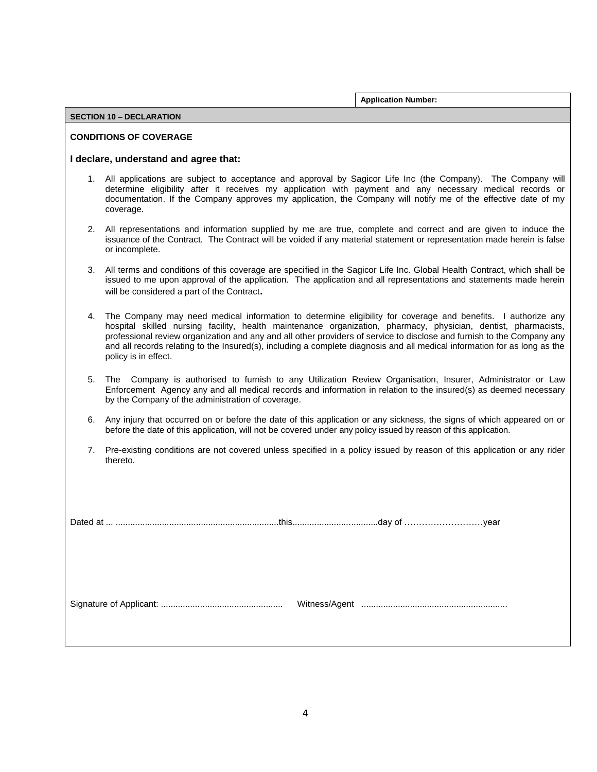**Application Number:**

#### **SECTION 10 – DECLARATION**

#### **CONDITIONS OF COVERAGE**

### **I declare, understand and agree that:**

- 1. All applications are subject to acceptance and approval by Sagicor Life Inc (the Company). The Company will determine eligibility after it receives my application with payment and any necessary medical records or documentation. If the Company approves my application, the Company will notify me of the effective date of my coverage.
- 2. All representations and information supplied by me are true, complete and correct and are given to induce the issuance of the Contract. The Contract will be voided if any material statement or representation made herein is false or incomplete.
- 3. All terms and conditions of this coverage are specified in the Sagicor Life Inc. Global Health Contract, which shall be issued to me upon approval of the application. The application and all representations and statements made herein will be considered a part of the Contract**.**
- 4. The Company may need medical information to determine eligibility for coverage and benefits. I authorize any hospital skilled nursing facility, health maintenance organization, pharmacy, physician, dentist, pharmacists, professional review organization and any and all other providers of service to disclose and furnish to the Company any and all records relating to the Insured(s), including a complete diagnosis and all medical information for as long as the policy is in effect.
- 5. The Company is authorised to furnish to any Utilization Review Organisation, Insurer, Administrator or Law Enforcement Agency any and all medical records and information in relation to the insured(s) as deemed necessary by the Company of the administration of coverage.
- 6. Any injury that occurred on or before the date of this application or any sickness, the signs of which appeared on or before the date of this application, will not be covered under any policy issued by reason of this application.
- 7. Pre-existing conditions are not covered unless specified in a policy issued by reason of this application or any rider thereto.

Dated at ... ...................................................................this...................................day of ………………………year

Signature of Applicant: .................................................. Witness/Agent ............................................................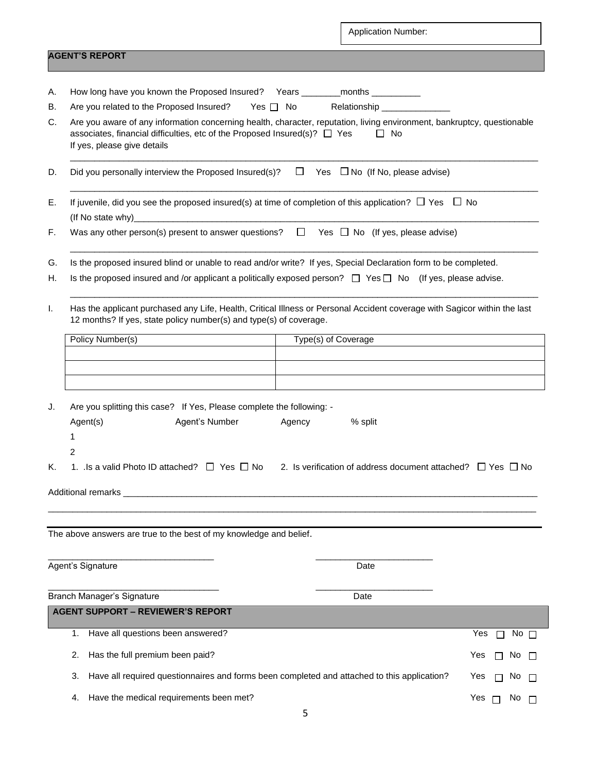|    |                                                                                                                                                                                                                                                       |                     | <b>Application Number:</b>                                            |                               |  |  |  |  |
|----|-------------------------------------------------------------------------------------------------------------------------------------------------------------------------------------------------------------------------------------------------------|---------------------|-----------------------------------------------------------------------|-------------------------------|--|--|--|--|
|    | <b>AGENT'S REPORT</b>                                                                                                                                                                                                                                 |                     |                                                                       |                               |  |  |  |  |
| А. | How long have you known the Proposed Insured? Years _________ months __________                                                                                                                                                                       |                     |                                                                       |                               |  |  |  |  |
| В. | Are you related to the Proposed Insured? Yes $\Box$ No                                                                                                                                                                                                |                     | Relationship ______________                                           |                               |  |  |  |  |
| C. | Are you aware of any information concerning health, character, reputation, living environment, bankruptcy, questionable<br>associates, financial difficulties, etc of the Proposed Insured(s)? $\Box$ Yes<br>$\Box$ No<br>If yes, please give details |                     |                                                                       |                               |  |  |  |  |
| D. | Did you personally interview the Proposed Insured(s)? $\square$ Yes $\square$ No (If No, please advise)                                                                                                                                               |                     |                                                                       |                               |  |  |  |  |
| Е. | If juvenile, did you see the proposed insured(s) at time of completion of this application? $\Box$ Yes $\Box$ No                                                                                                                                      |                     |                                                                       |                               |  |  |  |  |
| F. | Was any other person(s) present to answer questions? $\square$ Yes $\square$ No (If yes, please advise)                                                                                                                                               |                     |                                                                       |                               |  |  |  |  |
| G. | Is the proposed insured blind or unable to read and/or write? If yes, Special Declaration form to be completed.                                                                                                                                       |                     |                                                                       |                               |  |  |  |  |
| Η. | Is the proposed insured and /or applicant a politically exposed person? $\Box$ Yes $\Box$ No (If yes, please advise.                                                                                                                                  |                     |                                                                       |                               |  |  |  |  |
| Ι. | Has the applicant purchased any Life, Health, Critical Illness or Personal Accident coverage with Sagicor within the last<br>12 months? If yes, state policy number(s) and type(s) of coverage.                                                       |                     |                                                                       |                               |  |  |  |  |
|    | Policy Number(s)                                                                                                                                                                                                                                      | Type(s) of Coverage |                                                                       |                               |  |  |  |  |
| J. | Are you splitting this case? If Yes, Please complete the following: -<br>Agent's Number<br>Agent(s)<br>1                                                                                                                                              | Agency              | % split                                                               |                               |  |  |  |  |
|    | 2<br>1. Is a valid Photo ID attached? $\Box$ Yes $\Box$ No                                                                                                                                                                                            |                     | 2. Is verification of address document attached? $\Box$ Yes $\Box$ No |                               |  |  |  |  |
| K. |                                                                                                                                                                                                                                                       |                     |                                                                       |                               |  |  |  |  |
|    |                                                                                                                                                                                                                                                       |                     |                                                                       |                               |  |  |  |  |
|    | The above answers are true to the best of my knowledge and belief.                                                                                                                                                                                    |                     |                                                                       |                               |  |  |  |  |
|    | Agent's Signature                                                                                                                                                                                                                                     |                     | Date                                                                  |                               |  |  |  |  |
|    | Branch Manager's Signature                                                                                                                                                                                                                            |                     | Date                                                                  |                               |  |  |  |  |
|    | <b>AGENT SUPPORT - REVIEWER'S REPORT</b>                                                                                                                                                                                                              |                     |                                                                       |                               |  |  |  |  |
|    | Have all questions been answered?<br>1.                                                                                                                                                                                                               |                     |                                                                       | Yes<br>No $\square$<br>$\Box$ |  |  |  |  |
|    | Has the full premium been paid?<br>2.                                                                                                                                                                                                                 |                     |                                                                       | Yes<br>No.                    |  |  |  |  |
|    | Have all required questionnaires and forms been completed and attached to this application?<br>3.                                                                                                                                                     |                     |                                                                       | Yes<br>No.<br>П               |  |  |  |  |
|    | Have the medical requirements been met?<br>4.                                                                                                                                                                                                         |                     |                                                                       | Yes<br>No.<br>$\Box$          |  |  |  |  |

5